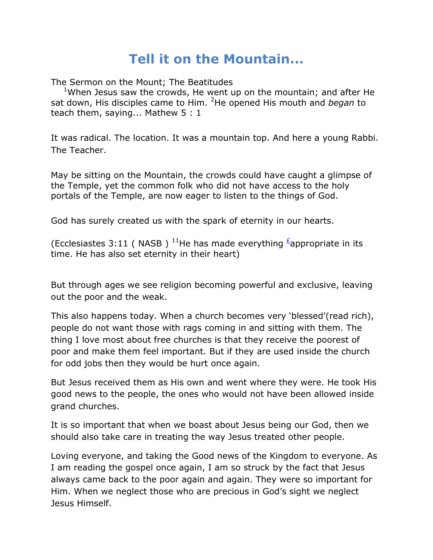## **Tell it on the Mountain...**

The Sermon on the Mount; The Beatitudes

<sup>1</sup>When Jesus saw the crowds, He went up on the mountain; and after He sat down, His disciples came to Him. <sup>2</sup>He opened His mouth and *began* to teach them, saying... Mathew 5 : 1

It was radical. The location. It was a mountain top. And here a young Rabbi. The Teacher.

May be sitting on the Mountain, the crowds could have caught a glimpse of the Temple, yet the common folk who did not have access to the holy portals of the Temple, are now eager to listen to the things of God.

God has surely created us with the spark of eternity in our hearts.

(Ecclesiastes 3:11 ( NASB ) <sup>11</sup>He has made everything  $\frac{1}{2}$ appropriate in its time. He has also set eternity in their heart)

But through ages we see religion becoming powerful and exclusive, leaving out the poor and the weak.

This also happens today. When a church becomes very "blessed"(read rich), people do not want those with rags coming in and sitting with them. The thing I love most about free churches is that they receive the poorest of poor and make them feel important. But if they are used inside the church for odd jobs then they would be hurt once again.

But Jesus received them as His own and went where they were. He took His good news to the people, the ones who would not have been allowed inside grand churches.

It is so important that when we boast about Jesus being our God, then we should also take care in treating the way Jesus treated other people.

Loving everyone, and taking the Good news of the Kingdom to everyone. As I am reading the gospel once again, I am so struck by the fact that Jesus always came back to the poor again and again. They were so important for Him. When we neglect those who are precious in God"s sight we neglect Jesus Himself.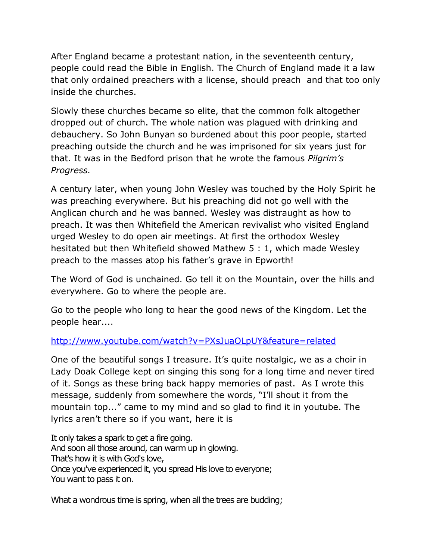After England became a protestant nation, in the seventeenth century, people could read the Bible in English. The Church of England made it a law that only ordained preachers with a license, should preach and that too only inside the churches.

Slowly these churches became so elite, that the common folk altogether dropped out of church. The whole nation was plagued with drinking and debauchery. So John Bunyan so burdened about this poor people, started preaching outside the church and he was imprisoned for six years just for that. It was in the Bedford prison that he wrote the famous *Pilgrim's Progress.* 

A century later, when young John Wesley was touched by the Holy Spirit he was preaching everywhere. But his preaching did not go well with the Anglican church and he was banned. Wesley was distraught as how to preach. It was then Whitefield the American revivalist who visited England urged Wesley to do open air meetings. At first the orthodox Wesley hesitated but then Whitefield showed Mathew 5 : 1, which made Wesley preach to the masses atop his father"s grave in Epworth!

The Word of God is unchained. Go tell it on the Mountain, over the hills and everywhere. Go to where the people are.

Go to the people who long to hear the good news of the Kingdom. Let the people hear....

## <http://www.youtube.com/watch?v=PXsJuaOLpUY&feature=related>

One of the beautiful songs I treasure. It's quite nostalgic, we as a choir in Lady Doak College kept on singing this song for a long time and never tired of it. Songs as these bring back happy memories of past. As I wrote this message, suddenly from somewhere the words, "I"ll shout it from the mountain top..." came to my mind and so glad to find it in youtube. The lyrics aren"t there so if you want, here it is

It only takes a spark to get a fire going. And soon all those around, can warm up in glowing. That's how it is with God's love, Once you've experienced it, you spread His love to everyone; You want to pass it on.

What a wondrous time is spring, when all the trees are budding;